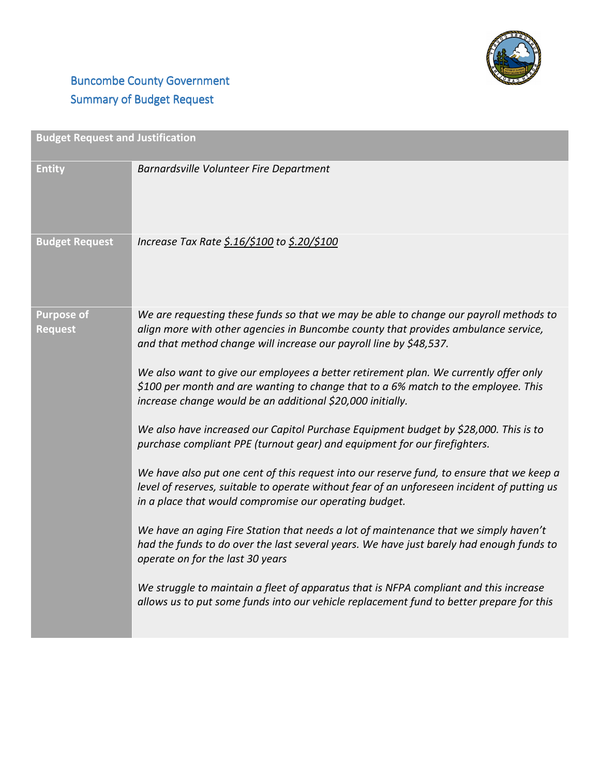

## **Buncombe County Government** Summary of Budget Request

| <b>Budget Request and Justification</b> |                                                                                                                                                                                                                                                                                                                                                                                                                                                                                                                                                                                                                                                                                                                                                                                                                                                                                                                                                                                                                                                                                                                                                                                                                                                                                                                                       |  |
|-----------------------------------------|---------------------------------------------------------------------------------------------------------------------------------------------------------------------------------------------------------------------------------------------------------------------------------------------------------------------------------------------------------------------------------------------------------------------------------------------------------------------------------------------------------------------------------------------------------------------------------------------------------------------------------------------------------------------------------------------------------------------------------------------------------------------------------------------------------------------------------------------------------------------------------------------------------------------------------------------------------------------------------------------------------------------------------------------------------------------------------------------------------------------------------------------------------------------------------------------------------------------------------------------------------------------------------------------------------------------------------------|--|
| <b>Entity</b>                           | Barnardsville Volunteer Fire Department                                                                                                                                                                                                                                                                                                                                                                                                                                                                                                                                                                                                                                                                                                                                                                                                                                                                                                                                                                                                                                                                                                                                                                                                                                                                                               |  |
| <b>Budget Request</b>                   | Increase Tax Rate \$.16/\$100 to \$.20/\$100                                                                                                                                                                                                                                                                                                                                                                                                                                                                                                                                                                                                                                                                                                                                                                                                                                                                                                                                                                                                                                                                                                                                                                                                                                                                                          |  |
| <b>Purpose of</b><br><b>Request</b>     | We are requesting these funds so that we may be able to change our payroll methods to<br>align more with other agencies in Buncombe county that provides ambulance service,<br>and that method change will increase our payroll line by \$48,537.<br>We also want to give our employees a better retirement plan. We currently offer only<br>\$100 per month and are wanting to change that to a 6% match to the employee. This<br>increase change would be an additional \$20,000 initially.<br>We also have increased our Capitol Purchase Equipment budget by \$28,000. This is to<br>purchase compliant PPE (turnout gear) and equipment for our firefighters.<br>We have also put one cent of this request into our reserve fund, to ensure that we keep a<br>level of reserves, suitable to operate without fear of an unforeseen incident of putting us<br>in a place that would compromise our operating budget.<br>We have an aging Fire Station that needs a lot of maintenance that we simply haven't<br>had the funds to do over the last several years. We have just barely had enough funds to<br>operate on for the last 30 years<br>We struggle to maintain a fleet of apparatus that is NFPA compliant and this increase<br>allows us to put some funds into our vehicle replacement fund to better prepare for this |  |